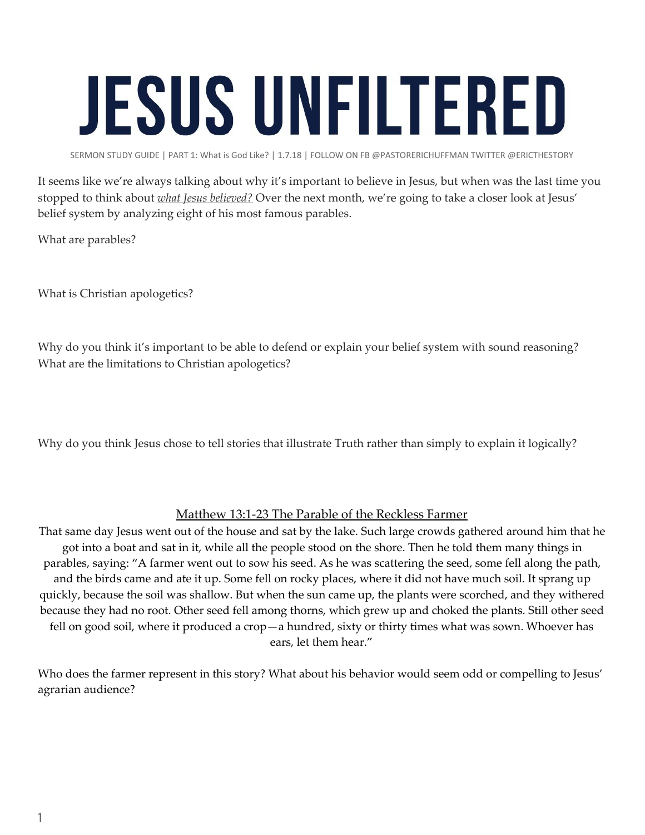## **JESUS UNFILTERED**

SERMON STUDY GUIDE | PART 1: What is God Like? | 1.7.18 | FOLLOW ON FB @PASTORERICHUFFMAN TWITTER @ERICTHESTORY

It seems like we're always talking about why it's important to believe in Jesus, but when was the last time you stopped to think about *what Jesus believed?* Over the next month, we're going to take a closer look at Jesus' belief system by analyzing eight of his most famous parables.

What are parables?

What is Christian apologetics?

Why do you think it's important to be able to defend or explain your belief system with sound reasoning? What are the limitations to Christian apologetics?

Why do you think Jesus chose to tell stories that illustrate Truth rather than simply to explain it logically?

## Matthew 13:1-23 The Parable of the Reckless Farmer

That same day Jesus went out of the house and sat by the lake. Such large crowds gathered around him that he got into a boat and sat in it, while all the people stood on the shore. Then he told them many things in parables, saying: "A farmer went out to sow his seed. As he was scattering the seed, some fell along the path, and the birds came and ate it up. Some fell on rocky places, where it did not have much soil. It sprang up quickly, because the soil was shallow. But when the sun came up, the plants were scorched, and they withered because they had no root. Other seed fell among thorns, which grew up and choked the plants. Still other seed fell on good soil, where it produced a crop—a hundred, sixty or thirty times what was sown. Whoever has ears, let them hear."

Who does the farmer represent in this story? What about his behavior would seem odd or compelling to Jesus' agrarian audience?